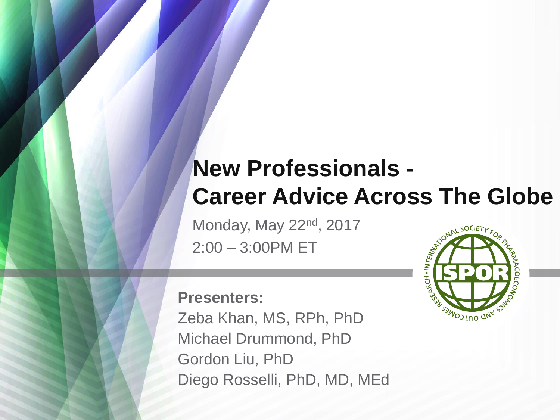#### **New Professionals - Career Advice Across The Globe**

Monday, May 22<sup>nd</sup>, 2017 2:00 – 3:00PM ET



#### **Presenters:**

Zeba Khan, MS, RPh, PhD Michael Drummond, PhD Gordon Liu, PhD Diego Rosselli, PhD, MD, MEd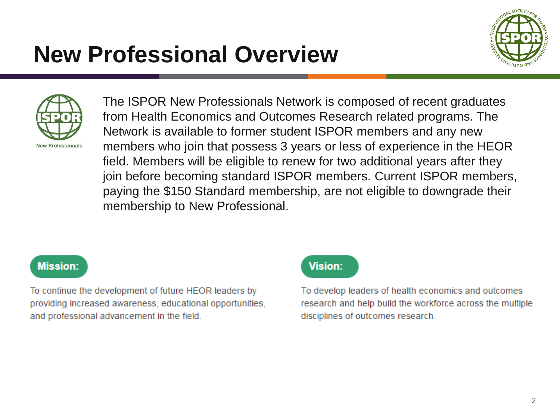### **New Professional Overview**





The ISPOR New Professionals Network is composed of recent graduates from Health Economics and Outcomes Research related programs. The Network is available to former student ISPOR members and any new members who join that possess 3 years or less of experience in the HEOR field. Members will be eligible to renew for two additional years after they join before becoming standard ISPOR members. Current ISPOR members, paying the \$150 Standard membership, are not eligible to downgrade their membership to New Professional.

#### **Mission:**

To continue the development of future HEOR leaders by providing increased awareness, educational opportunities, and professional advancement in the field.

#### **Vision:**

To develop leaders of health economics and outcomes research and help build the workforce across the multiple disciplines of outcomes research.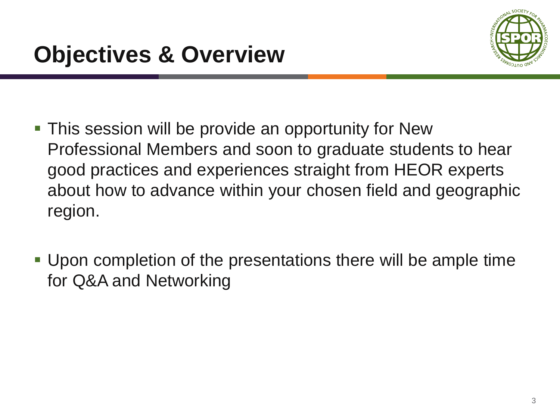

- **This session will be provide an opportunity for New** Professional Members and soon to graduate students to hear good practices and experiences straight from HEOR experts about how to advance within your chosen field and geographic region.
- Upon completion of the presentations there will be ample time for Q&A and Networking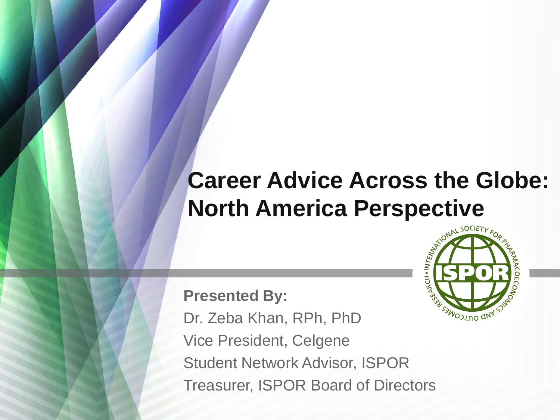### **Career Advice Across the Globe: North America Perspective**

**Presented By:** Dr. Zeba Khan, RPh, PhD Vice President, Celgene Student Network Advisor, ISPOR Treasurer, ISPOR Board of Directors

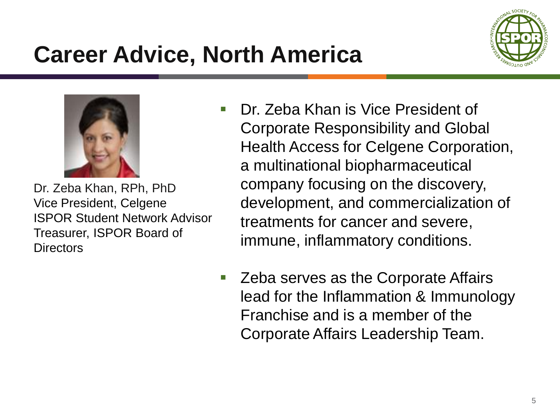# **Career Advice, North America**





Dr. Zeba Khan, RPh, PhD Vice President, Celgene ISPOR Student Network Advisor Treasurer, ISPOR Board of **Directors** 

- **Dr.** Zeba Khan is Vice President of Corporate Responsibility and Global Health Access for Celgene Corporation, a multinational biopharmaceutical company focusing on the discovery, development, and commercialization of treatments for cancer and severe, immune, inflammatory conditions.
- Zeba serves as the Corporate Affairs lead for the Inflammation & Immunology Franchise and is a member of the Corporate Affairs Leadership Team.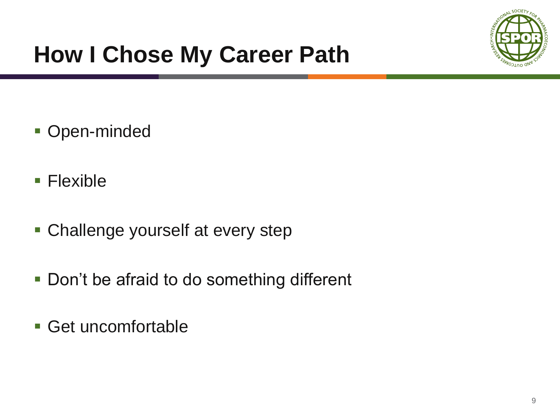

# **How I Chose My Career Path**

- Open-minded
- Flexible
- Challenge yourself at every step
- **Don't be afraid to do something different**
- Get uncomfortable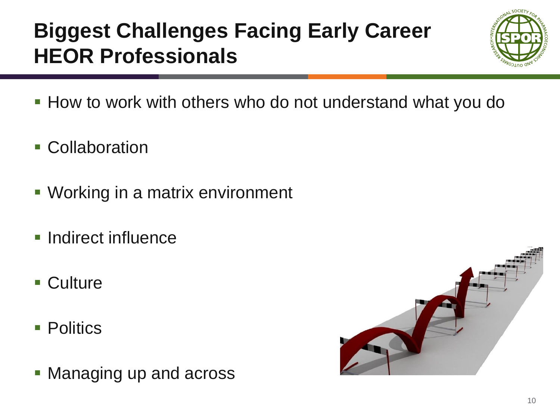#### **Biggest Challenges Facing Early Career HEOR Professionals**



- **How to work with others who do not understand what you do**
- **Collaboration**
- **Working in a matrix environment**
- **Indirect influence**
- Culture
- **Politics**
- **Managing up and across**

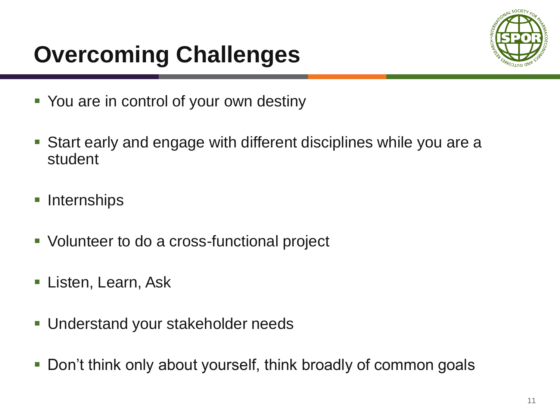# **Overcoming Challenges**



- You are in control of your own destiny
- Start early and engage with different disciplines while you are a student
- **Internships**
- **Volunteer to do a cross-functional project**
- **Listen, Learn, Ask**
- Understand your stakeholder needs
- **-** Don't think only about yourself, think broadly of common goals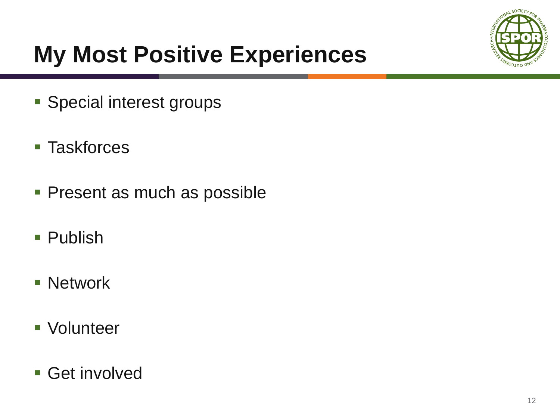

# **My Most Positive Experiences**

- **Special interest groups**
- Taskforces
- **Present as much as possible**
- Publish
- **Network**
- **Volunteer**
- Get involved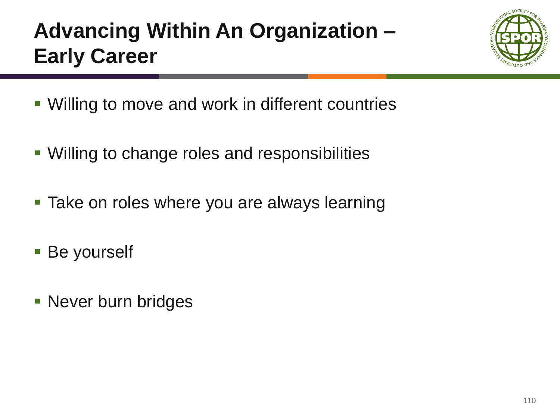### **Advancing Within An Organization – Early Career**



- Willing to move and work in different countries
- Willing to change roles and responsibilities
- **Take on roles where you are always learning**
- **Be yourself**
- **Never burn bridges**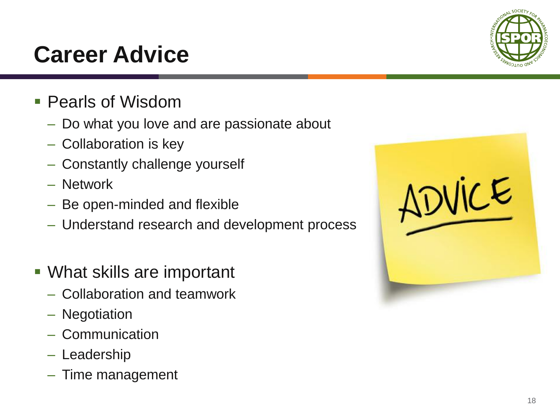#### **Career Advice**

- **Pearls of Wisdom** 
	- Do what you love and are passionate about
	- Collaboration is key
	- Constantly challenge yourself
	- Network
	- Be open-minded and flexible
	- Understand research and development process
- What skills are important
	- Collaboration and teamwork
	- Negotiation
	- Communication
	- Leadership
	- Time management



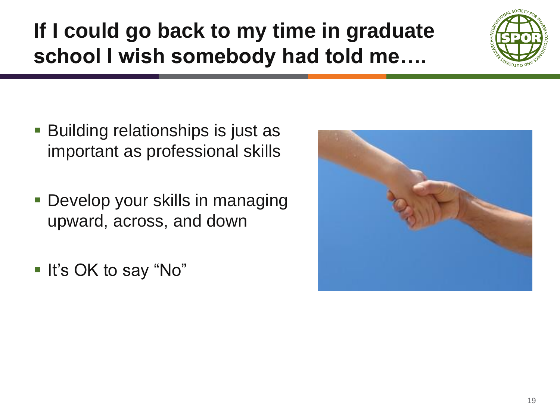#### **If I could go back to my time in graduate school I wish somebody had told me….**



- **Building relationships is just as** important as professional skills
- **Develop your skills in managing** upward, across, and down
- It's OK to say "No"

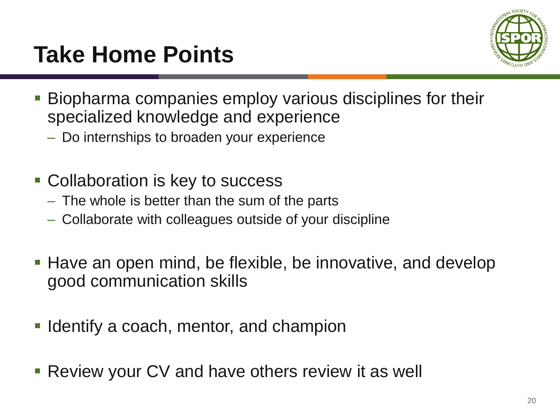## **Take Home Points**



- Biopharma companies employ various disciplines for their specialized knowledge and experience
	- Do internships to broaden your experience
- **Collaboration is key to success** 
	- The whole is better than the sum of the parts
	- Collaborate with colleagues outside of your discipline
- Have an open mind, be flexible, be innovative, and develop good communication skills
- **I** Identify a coach, mentor, and champion
- **Review your CV and have others review it as well**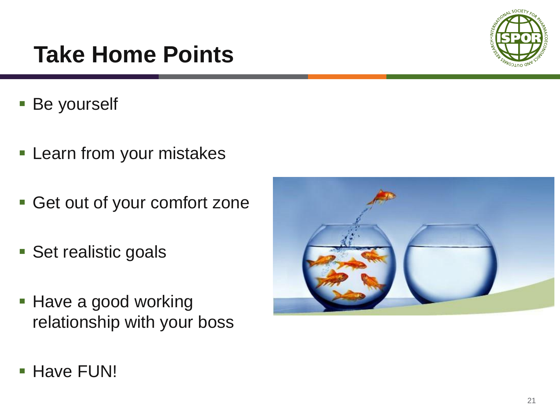### **Take Home Points**

- **Be yourself**
- **Learn from your mistakes**
- Get out of your comfort zone
- **Set realistic goals**
- **Have a good working** relationship with your boss



**Have FUN!** 

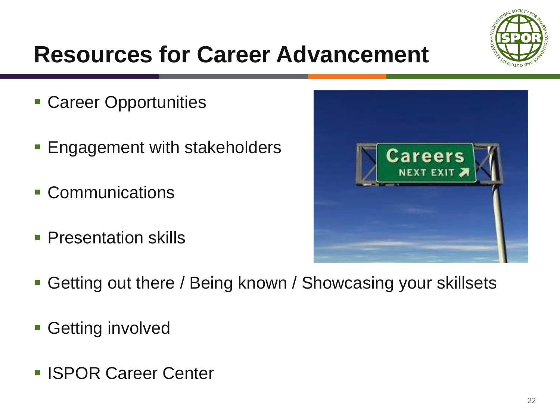

# **Resources for Career Advancement**

- **Career Opportunities**
- **Engagement with stakeholders**
- Communications
- **Presentation skills**



- Getting out there / Being known / Showcasing your skillsets
- **Getting involved**
- **ISPOR Career Center**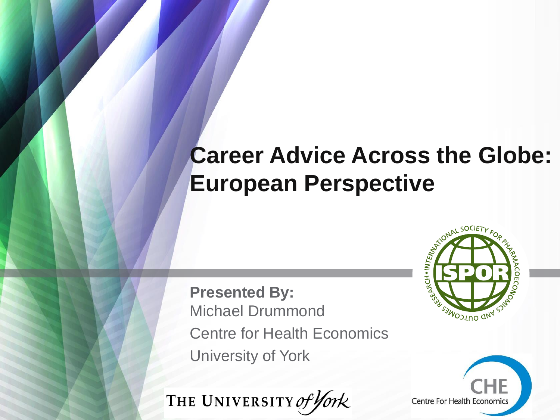#### **Career Advice Across the Globe: European Perspective**

**Presented By:** Michael Drummond Centre for Health Economics University of York





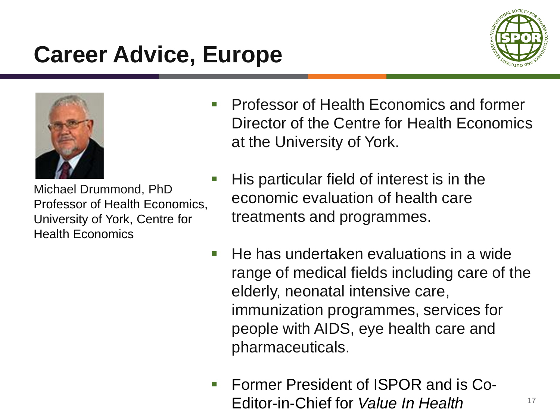### **Career Advice, Europe**





Michael Drummond, PhD Professor of Health Economics, University of York, Centre for Health Economics

- Professor of Health Economics and former Director of the Centre for Health Economics at the University of York.
- $\blacksquare$  His particular field of interest is in the economic evaluation of health care treatments and programmes.
- $\blacksquare$  He has undertaken evaluations in a wide range of medical fields including care of the elderly, neonatal intensive care, immunization programmes, services for people with AIDS, eye health care and pharmaceuticals.
- **Former President of ISPOR and is Co-**Editor-in-Chief for *Value In Health*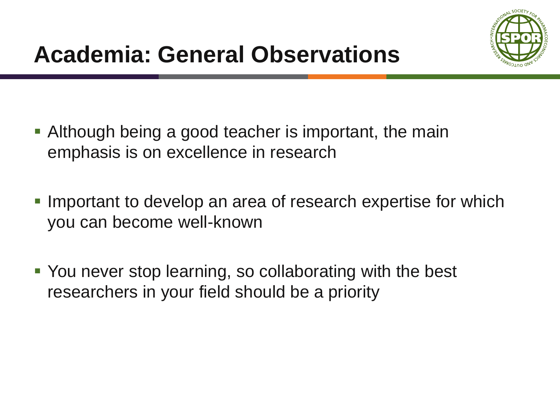- Although being a good teacher is important, the main emphasis is on excellence in research
- **Important to develop an area of research expertise for which** you can become well-known
- You never stop learning, so collaborating with the best researchers in your field should be a priority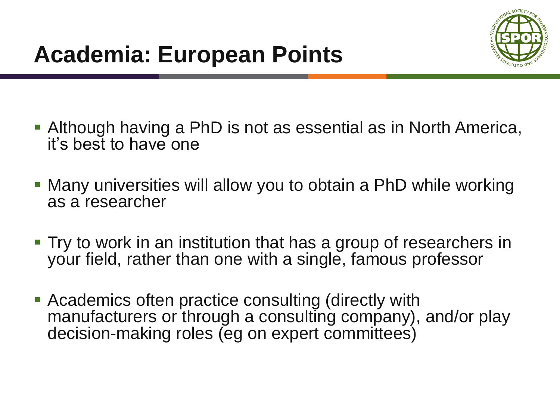

- Although having a PhD is not as essential as in North America, it's best to have one
- Many universities will allow you to obtain a PhD while working as a researcher
- Try to work in an institution that has a group of researchers in your field, rather than one with a single, famous professor
- Academics often practice consulting (directly with manufacturers or through a consulting company), and/or play decision-making roles (eg on expert committees)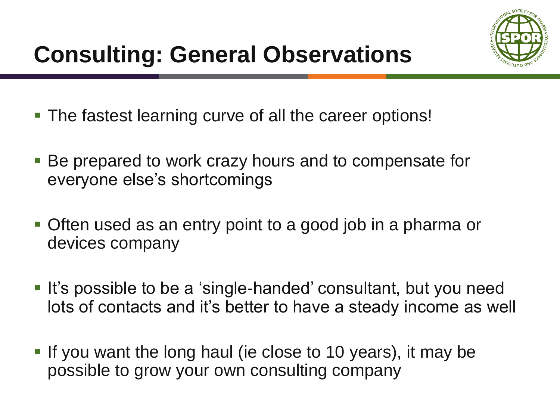

- The fastest learning curve of all the career options!
- Be prepared to work crazy hours and to compensate for everyone else's shortcomings
- Often used as an entry point to a good job in a pharma or devices company
- It's possible to be a 'single-handed' consultant, but you need lots of contacts and it's better to have a steady income as well
- If you want the long haul (ie close to 10 years), it may be possible to grow your own consulting company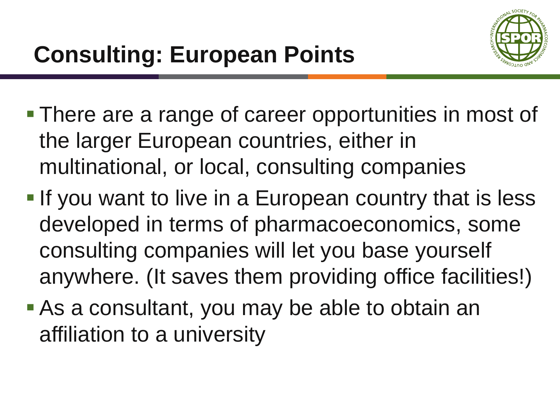

- **There are a range of career opportunities in most of** the larger European countries, either in multinational, or local, consulting companies
- **If you want to live in a European country that is less** developed in terms of pharmacoeconomics, some consulting companies will let you base yourself anywhere. (It saves them providing office facilities!)
- As a consultant, you may be able to obtain an affiliation to a university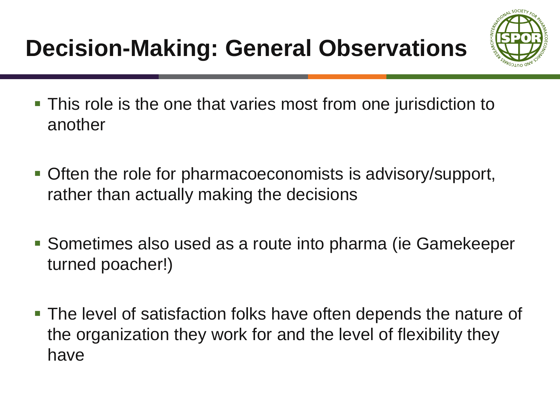

- This role is the one that varies most from one jurisdiction to another
- Often the role for pharmacoeconomists is advisory/support, rather than actually making the decisions
- Sometimes also used as a route into pharma (ie Gamekeeper turned poacher!)
- The level of satisfaction folks have often depends the nature of the organization they work for and the level of flexibility they have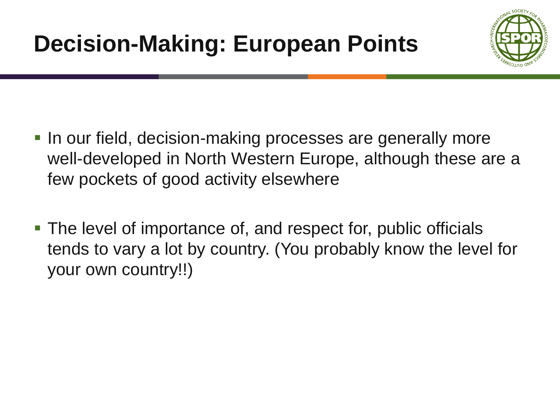

- **In our field, decision-making processes are generally more** well-developed in North Western Europe, although these are a few pockets of good activity elsewhere
- The level of importance of, and respect for, public officials tends to vary a lot by country. (You probably know the level for your own country!!)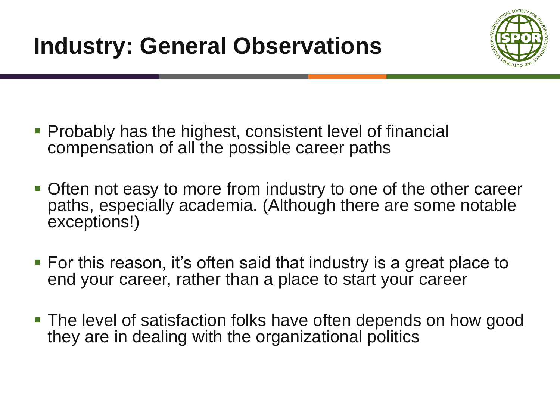

- Probably has the highest, consistent level of financial compensation of all the possible career paths
- Often not easy to more from industry to one of the other career paths, especially academia. (Although there are some notable exceptions!)
- For this reason, it's often said that industry is a great place to end your career, rather than a place to start your career
- The level of satisfaction folks have often depends on how good they are in dealing with the organizational politics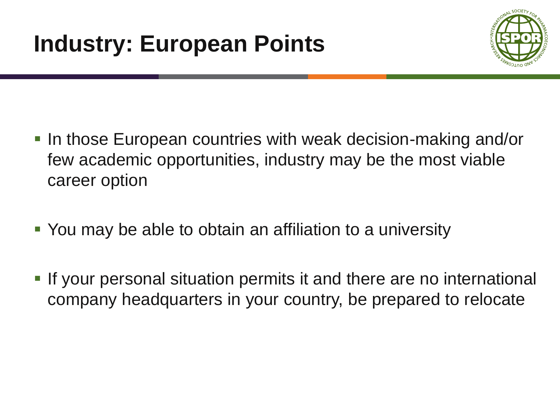

- In those European countries with weak decision-making and/or few academic opportunities, industry may be the most viable career option
- You may be able to obtain an affiliation to a university
- **If your personal situation permits it and there are no international** company headquarters in your country, be prepared to relocate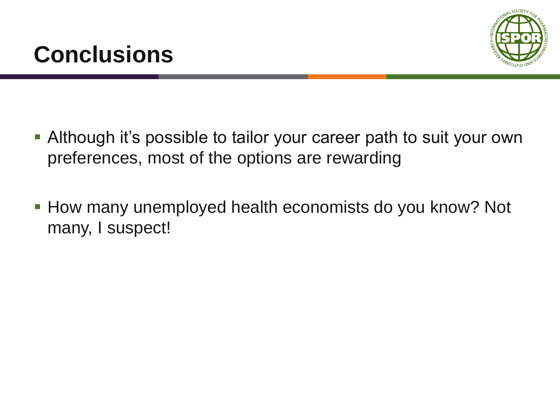



- Although it's possible to tailor your career path to suit your own preferences, most of the options are rewarding
- **How many unemployed health economists do you know? Not** many, I suspect!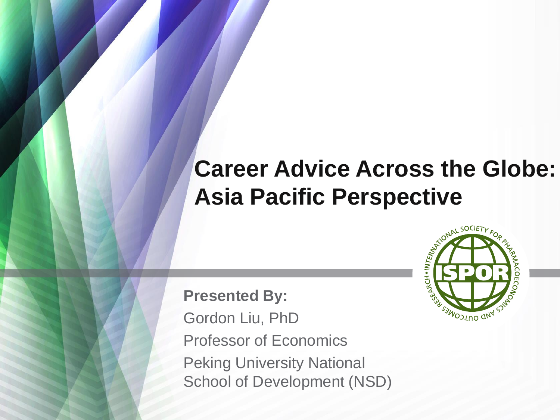#### **Career Advice Across the Globe: Asia Pacific Perspective**

**Presented By:** Gordon Liu, PhD Professor of Economics Peking University National School of Development (NSD)

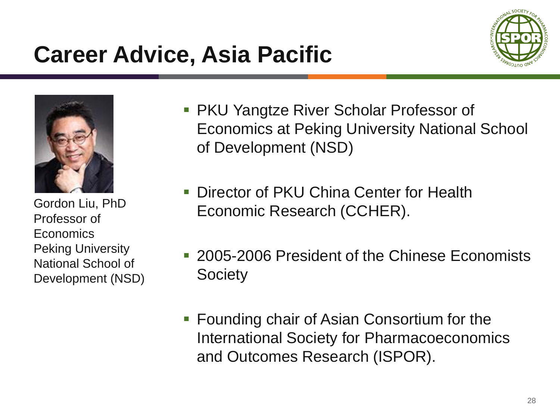### **Career Advice, Asia Pacific**





Gordon Liu, PhD Professor of **Economics** Peking University National School of Development (NSD)

- **PKU Yangtze River Scholar Professor of** Economics at Peking University National School of Development (NSD)
- **Director of PKU China Center for Health** Economic Research (CCHER).
- 2005-2006 President of the Chinese Economists **Society**
- Founding chair of Asian Consortium for the International Society for Pharmacoeconomics and Outcomes Research (ISPOR).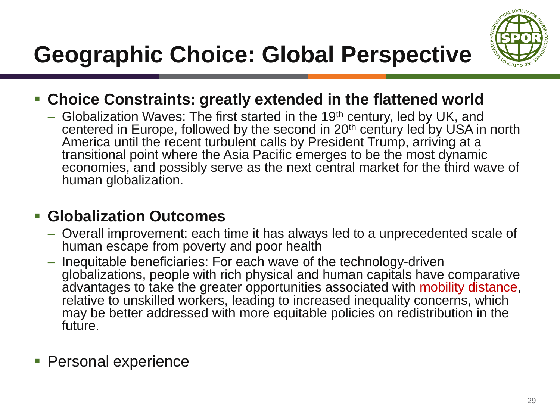

# **Geographic Choice: Global Perspective**

- **Choice Constraints: greatly extended in the flattened world** 
	- Globalization Waves: The first started in the 19<sup>th</sup> century, led by UK, and centered in Europe, followed by the second in 20<sup>th</sup> century led by USA in north America until the recent turbulent calls by President Trump, arriving at a transitional point where the Asia Pacific emerges to be the most dynamic economies, and possibly serve as the next central market for the third wave of human globalization.

#### **Globalization Outcomes**

- Overall improvement: each time it has always led to a unprecedented scale of human escape from poverty and poor health
- Inequitable beneficiaries: For each wave of the technology-driven globalizations, people with rich physical and human capitals have comparative advantages to take the greater opportunities associated with mobility distance, relative to unskilled workers, leading to increased inequality concerns, which may be better addressed with more equitable policies on redistribution in the future.
- **Personal experience**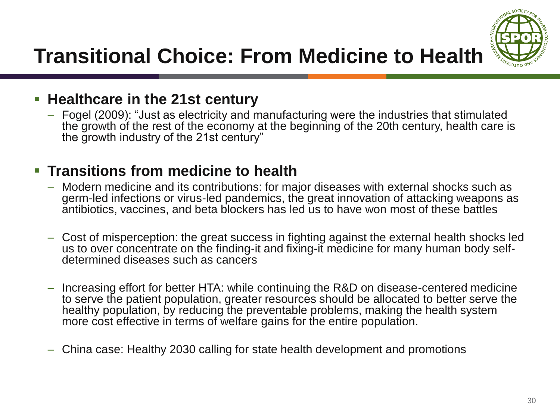

#### **Transitional Choice: From Medicine to Health**

#### **Healthcare in the 21st century**

– Fogel (2009): "Just as electricity and manufacturing were the industries that stimulated the growth of the rest of the economy at the beginning of the 20th century, health care is the growth industry of the 21st century"

#### **Transitions from medicine to health**

- Modern medicine and its contributions: for major diseases with external shocks such as germ-led infections or virus-led pandemics, the great innovation of attacking weapons as antibiotics, vaccines, and beta blockers has led us to have won most of these battles
- Cost of misperception: the great success in fighting against the external health shocks led us to over concentrate on the finding-it and fixing-it medicine for many human body selfdetermined diseases such as cancers
- Increasing effort for better HTA: while continuing the R&D on disease-centered medicine to serve the patient population, greater resources should be allocated to better serve the healthy population, by reducing the preventable problems, making the health system more cost effective in terms of welfare gains for the entire population.
- China case: Healthy 2030 calling for state health development and promotions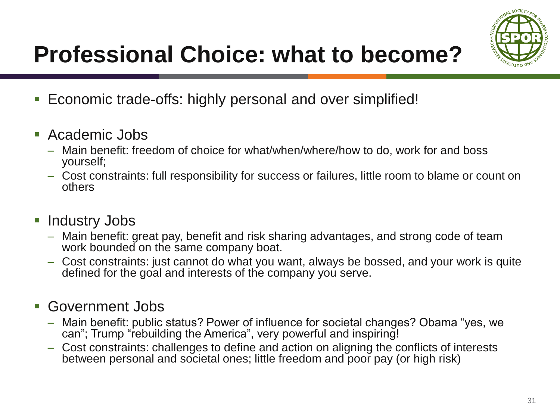

# **Professional Choice: what to become?**

- Economic trade-offs: highly personal and over simplified!
- Academic Jobs
	- Main benefit: freedom of choice for what/when/where/how to do, work for and boss yourself;
	- Cost constraints: full responsibility for success or failures, little room to blame or count on others

#### **Industry Jobs**

- Main benefit: great pay, benefit and risk sharing advantages, and strong code of team work bounded on the same company boat.
- Cost constraints: just cannot do what you want, always be bossed, and your work is quite defined for the goal and interests of the company you serve.

#### Government Jobs

- Main benefit: public status? Power of influence for societal changes? Obama "yes, we can"; Trump "rebuilding the America", very powerful and inspiring!
- Cost constraints: challenges to define and action on aligning the conflicts of interests between personal and societal ones; little freedom and poor pay (or high risk)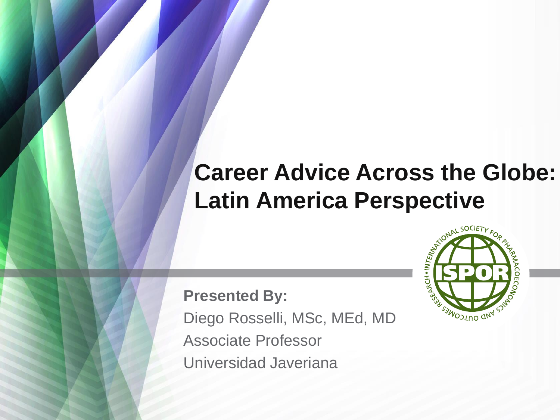### **Career Advice Across the Globe: Latin America Perspective**

**Presented By:** Diego Rosselli, MSc, MEd, MD Associate Professor Universidad Javeriana

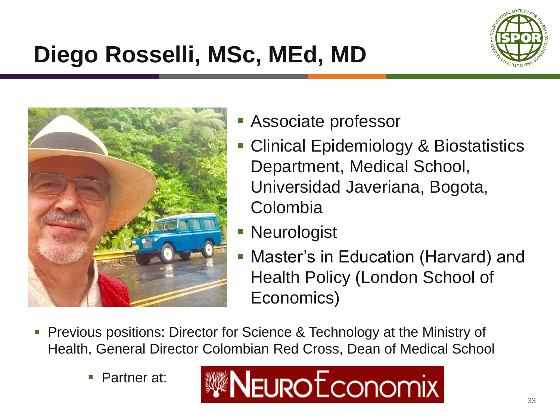

# **Diego Rosselli, MSc, MEd, MD**



- Associate professor
- **Clinical Epidemiology & Biostatistics** Department, Medical School, Universidad Javeriana, Bogota, Colombia
- **Neurologist**
- Master's in Education (Harvard) and Health Policy (London School of Economics)
- **Previous positions: Director for Science & Technology at the Ministry of** Health, General Director Colombian Red Cross, Dean of Medical School
	- Partner at:

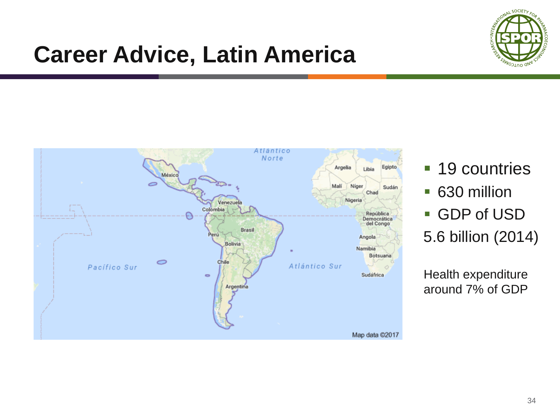

### **Career Advice, Latin America**



- 19 countries
- 630 million
- GDP of USD 5.6 billion (2014)

Health expenditure around 7% of GDP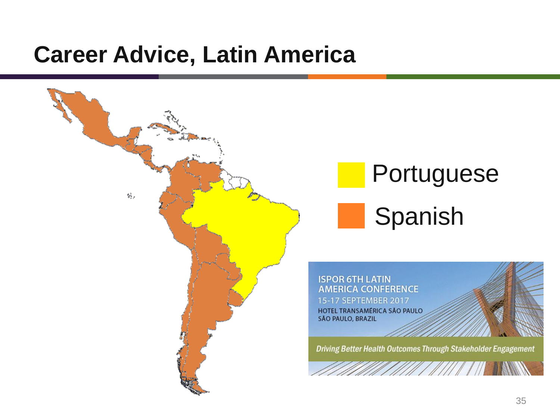#### **Career Advice, Latin America**



# **Portuguese** Spanish

**ISPOR 6TH LATIN AMERICA CONFERENCE** 15-17 SEPTEMBER 2017 HOTEL TRANSAMÉRICA SÃO PAULO **SÃO PAULO, BRAZIL** 

Driving Better Health Outcomes Through Stakeholder Engagement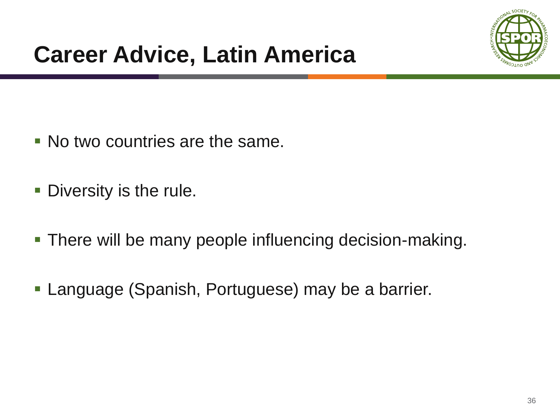

- No two countries are the same.
- **Diversity is the rule.**
- **There will be many people influencing decision-making.**
- **Language (Spanish, Portuguese) may be a barrier.**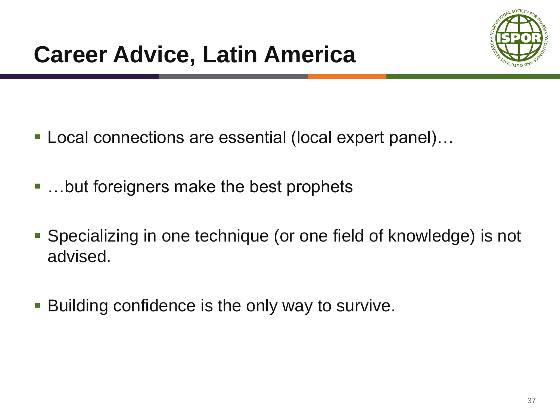

- Local connections are essential (local expert panel)...
- …but foreigners make the best prophets
- Specializing in one technique (or one field of knowledge) is not advised.
- **Building confidence is the only way to survive.**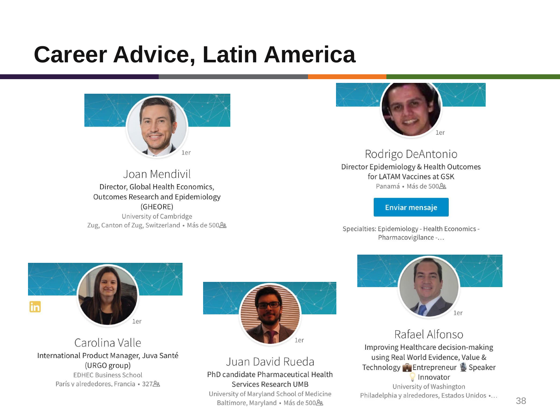### **Career Advice, Latin America**



Joan Mendivil Director, Global Health Economics, **Outcomes Research and Epidemiology** (GHEORE) University of Cambridge Zug, Canton of Zug, Switzerland · Más de 500&



Rodrigo DeAntonio Director Epidemiology & Health Outcomes for LATAM Vaccines at GSK Panamá · Más de 500 la

**Enviar mensaje** 

Specialties: Epidemiology - Health Economics -Pharmacovigilance -...



Carolina Valle International Product Manager, Juva Santé (URGO group) **EDHEC Business School** París y alrededores, Francia • 327&



Juan David Rueda PhD candidate Pharmaceutical Health Services Research UMB University of Maryland School of Medicine

Baltimore, Maryland · Más de 500&



Rafael Alfonso Improving Healthcare decision-making using Real World Evidence, Value & Technology Entrepreneur Speaker Innovator

University of Washington Philadelphia y alrededores, Estados Unidos ...